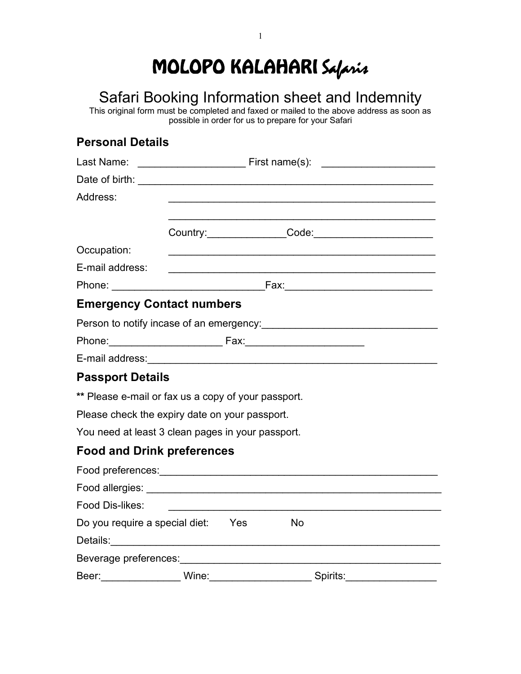# MOLOPO KALAHARI Safaris

## Safari Booking Information sheet and Indemnity

This original form must be completed and faxed or mailed to the above address as soon as possible in order for us to prepare for your Safari

### **Personal Details**

| Last Name:                                                                                                    |       |           |                      |
|---------------------------------------------------------------------------------------------------------------|-------|-----------|----------------------|
|                                                                                                               |       |           |                      |
| Address:                                                                                                      |       |           |                      |
|                                                                                                               |       |           |                      |
|                                                                                                               |       |           | Country: Code: Code: |
| Occupation:                                                                                                   |       |           |                      |
| E-mail address:                                                                                               |       |           |                      |
|                                                                                                               |       |           |                      |
| <b>Emergency Contact numbers</b>                                                                              |       |           |                      |
|                                                                                                               |       |           |                      |
| Phone: 2008 2009 2010 2021 2022 2023 2024 2024 2022 2023 2024 2022 2023 2024 2022 2023 2024 2022 2023 2024 20 |       |           |                      |
|                                                                                                               |       |           |                      |
| <b>Passport Details</b>                                                                                       |       |           |                      |
| ** Please e-mail or fax us a copy of your passport.                                                           |       |           |                      |
| Please check the expiry date on your passport.                                                                |       |           |                      |
| You need at least 3 clean pages in your passport.                                                             |       |           |                      |
| <b>Food and Drink preferences</b>                                                                             |       |           |                      |
|                                                                                                               |       |           |                      |
|                                                                                                               |       |           |                      |
| Food Dis-likes:                                                                                               |       |           |                      |
| Do you require a special diet: Yes                                                                            |       | <b>No</b> |                      |
|                                                                                                               |       |           |                      |
|                                                                                                               |       |           |                      |
| Beer:                                                                                                         | Wine: | Spirits:  |                      |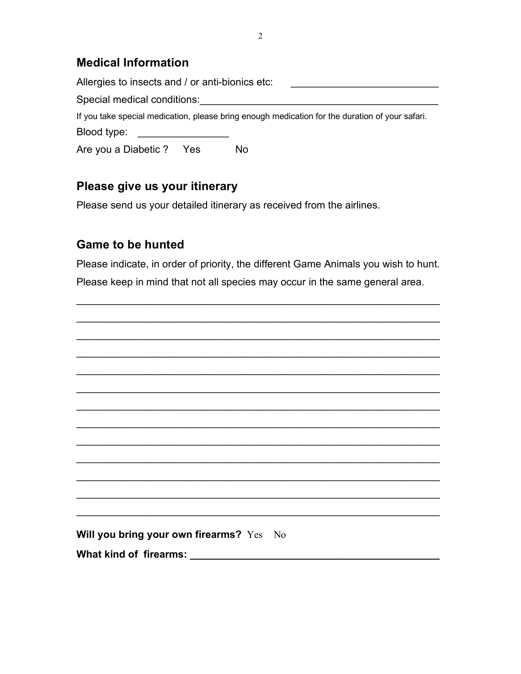#### **Medical Information**

| Allergies to insects and / or anti-bionics etc: |                                                                                                 |
|-------------------------------------------------|-------------------------------------------------------------------------------------------------|
| Special medical conditions:                     |                                                                                                 |
|                                                 | If you take special medication, please bring enough medication for the duration of your safari. |
| Blood type:                                     |                                                                                                 |
| Are you a Diabetic? Yes                         | No                                                                                              |

#### **Please give us your itinerary**

Please send us your detailed itinerary as received from the airlines.

#### **Game to be hunted**

Please indicate, in order of priority, the different Game Animals you wish to hunt. Please keep in mind that not all species may occur in the same general area.